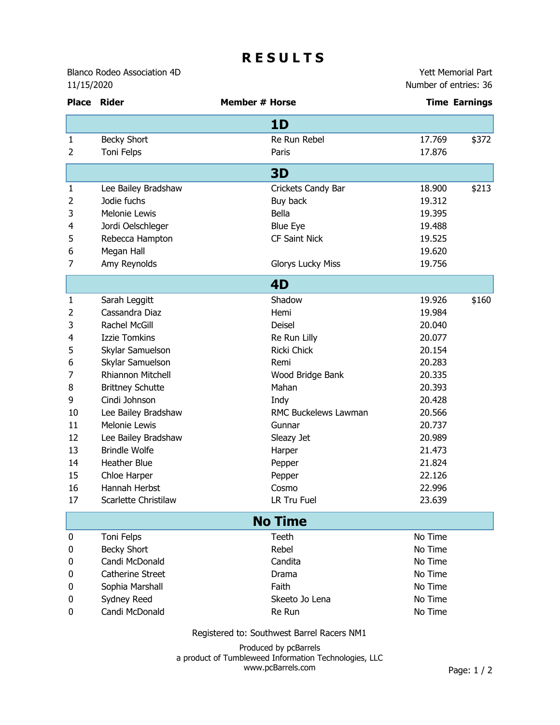## **R E S U L T S**

Blanco Rodeo Association 4D 11/15/2020

Yett Memorial Part Number of entries: 36

| 1D                                                          |       |  |  |  |
|-------------------------------------------------------------|-------|--|--|--|
| Re Run Rebel<br>17.769<br>1<br><b>Becky Short</b>           | \$372 |  |  |  |
| $\overline{2}$<br>Toni Felps<br>17.876<br>Paris             |       |  |  |  |
| <b>3D</b>                                                   |       |  |  |  |
| Crickets Candy Bar<br>18.900<br>1<br>Lee Bailey Bradshaw    | \$213 |  |  |  |
| 2<br>Jodie fuchs<br>Buy back<br>19.312                      |       |  |  |  |
| 3<br>Melonie Lewis<br>Bella<br>19.395                       |       |  |  |  |
| 4<br>Jordi Oelschleger<br><b>Blue Eye</b><br>19.488         |       |  |  |  |
| 5<br><b>CF Saint Nick</b><br>Rebecca Hampton<br>19.525      |       |  |  |  |
| 6<br>Megan Hall<br>19.620                                   |       |  |  |  |
| Amy Reynolds<br>7<br><b>Glorys Lucky Miss</b><br>19.756     |       |  |  |  |
| 4D                                                          |       |  |  |  |
| Shadow<br>19.926<br>1<br>Sarah Leggitt                      | \$160 |  |  |  |
| Cassandra Diaz<br>2<br>Hemi<br>19.984                       |       |  |  |  |
| 3<br>Rachel McGill<br>Deisel<br>20.040                      |       |  |  |  |
| <b>Izzie Tomkins</b><br>4<br>Re Run Lilly<br>20.077         |       |  |  |  |
| Skylar Samuelson<br>Ricki Chick<br>20.154<br>5              |       |  |  |  |
| 6<br>Skylar Samuelson<br>Remi<br>20.283                     |       |  |  |  |
| 7<br>Rhiannon Mitchell<br>Wood Bridge Bank<br>20.335        |       |  |  |  |
| 8<br><b>Brittney Schutte</b><br>Mahan<br>20.393             |       |  |  |  |
| 9<br>Cindi Johnson<br>20.428<br>Indy                        |       |  |  |  |
| 10<br>RMC Buckelews Lawman<br>Lee Bailey Bradshaw<br>20.566 |       |  |  |  |
| 11<br>Melonie Lewis<br>Gunnar<br>20.737                     |       |  |  |  |
| 12<br>Lee Bailey Bradshaw<br>Sleazy Jet<br>20.989           |       |  |  |  |
| 13<br><b>Brindle Wolfe</b><br>21.473<br>Harper              |       |  |  |  |
| <b>Heather Blue</b><br>14<br>21.824<br>Pepper               |       |  |  |  |
| 15<br>Chloe Harper<br>22.126<br>Pepper                      |       |  |  |  |
| 16<br>Hannah Herbst<br>Cosmo<br>22.996                      |       |  |  |  |
| 23.639<br>17<br>Scarlette Christilaw<br>LR Tru Fuel         |       |  |  |  |
| <b>No Time</b>                                              |       |  |  |  |
| No Time<br>Toni Felps<br>Teeth<br>0                         |       |  |  |  |
| <b>Becky Short</b><br>Rebel<br>No Time<br>0                 |       |  |  |  |
| Candi McDonald<br>Candita<br>No Time<br>0                   |       |  |  |  |
| <b>Catherine Street</b><br>No Time<br>Drama<br>0            |       |  |  |  |
| Sophia Marshall<br>Faith<br>No Time<br>0                    |       |  |  |  |
| Sydney Reed<br>No Time<br>Skeeto Jo Lena<br>0               |       |  |  |  |
| Candi McDonald<br>No Time<br>Re Run<br>0                    |       |  |  |  |

Registered to: Southwest Barrel Racers NM1

Produced by pcBarrels a product of Tumbleweed Information Technologies, LLC www.pcBarrels.com